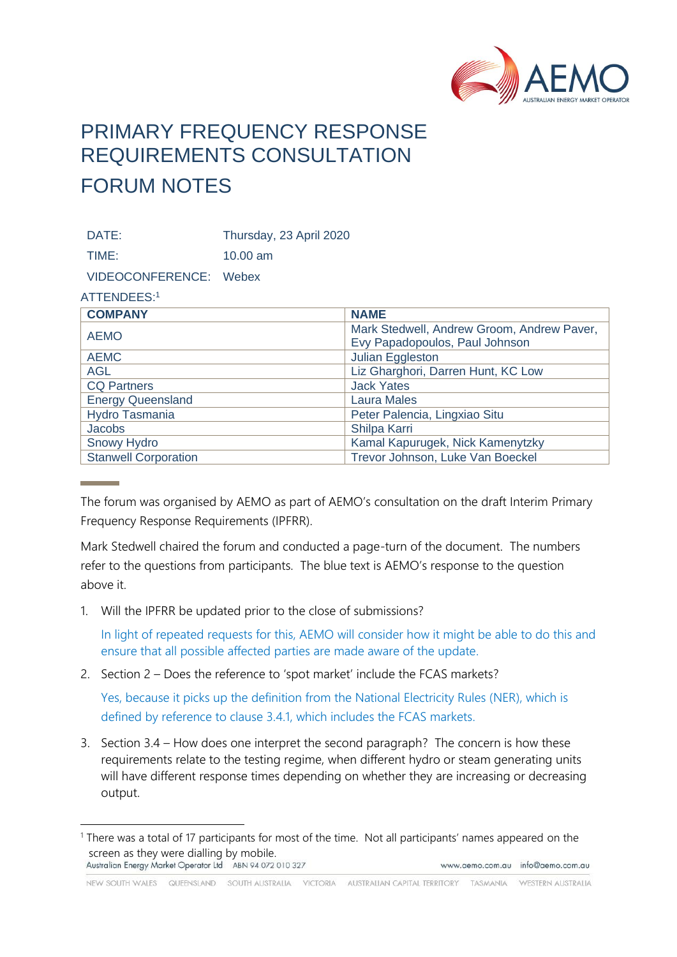

## PRIMARY FREQUENCY RESPONSE REQUIREMENTS CONSULTATION FORUM NOTES

DATE: Thursday, 23 April 2020

TIME: 10.00 am

VIDEOCONFERENCE: Webex

## ATTENDEES:<sup>1</sup>

| <b>COMPANY</b>              | <b>NAME</b>                                |
|-----------------------------|--------------------------------------------|
| <b>AEMO</b>                 | Mark Stedwell, Andrew Groom, Andrew Paver, |
|                             | Evy Papadopoulos, Paul Johnson             |
| <b>AEMC</b>                 | Julian Eggleston                           |
| <b>AGL</b>                  | Liz Gharghori, Darren Hunt, KC Low         |
| <b>CQ Partners</b>          | <b>Jack Yates</b>                          |
| <b>Energy Queensland</b>    | <b>Laura Males</b>                         |
| Hydro Tasmania              | Peter Palencia, Lingxiao Situ              |
| Jacobs                      | Shilpa Karri                               |
| <b>Snowy Hydro</b>          | Kamal Kapurugek, Nick Kamenytzky           |
| <b>Stanwell Corporation</b> | Trevor Johnson, Luke Van Boeckel           |

The forum was organised by AEMO as part of AEMO's consultation on the draft Interim Primary Frequency Response Requirements (IPFRR).

Mark Stedwell chaired the forum and conducted a page-turn of the document. The numbers refer to the questions from participants. The blue text is AEMO's response to the question above it.

1. Will the IPFRR be updated prior to the close of submissions?

In light of repeated requests for this, AEMO will consider how it might be able to do this and ensure that all possible affected parties are made aware of the update.

2. Section 2 – Does the reference to 'spot market' include the FCAS markets?

Yes, because it picks up the definition from the National Electricity Rules (NER), which is defined by reference to clause 3.4.1, which includes the FCAS markets.

3. Section 3.4 – How does one interpret the second paragraph? The concern is how these requirements relate to the testing regime, when different hydro or steam generating units will have different response times depending on whether they are increasing or decreasing output.

NEW SOUTH WALES QUEENSLAND SOUTH AUSTRALIA VICTORIA AUSTRALIAN CAPITAL TERRITORY TASMANIA WESTERN AUSTRALIA

<sup>1</sup> There was a total of 17 participants for most of the time. Not all participants' names appeared on the screen as they were dialling by mobile.<br>Australian Energy Market Operator Ltd ABN 94 072 010 327 www.aemo.com.au info@aemo.com.au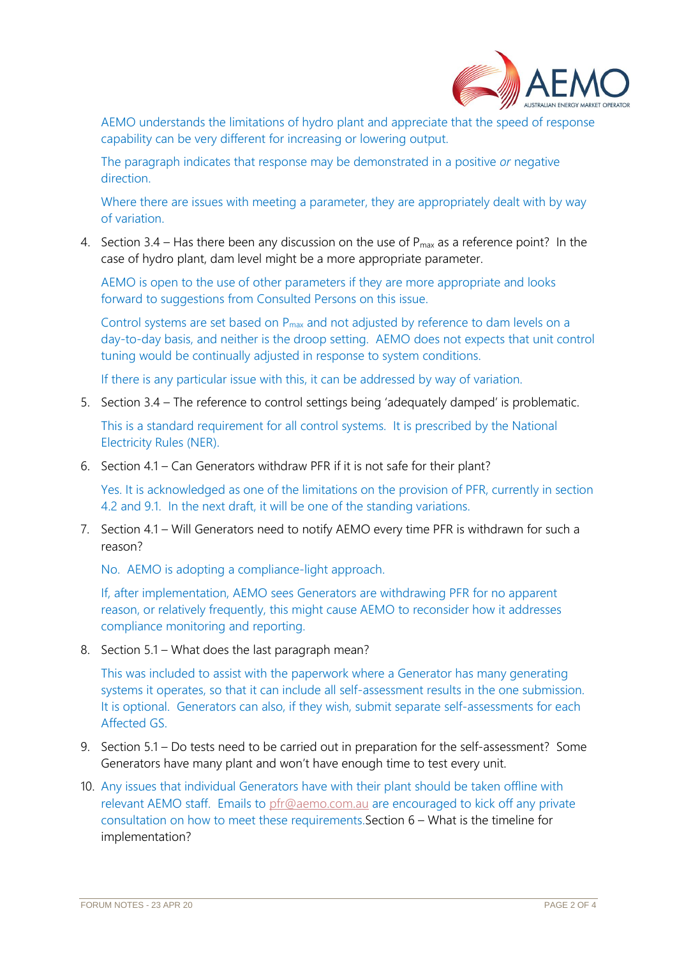

AEMO understands the limitations of hydro plant and appreciate that the speed of response capability can be very different for increasing or lowering output.

The paragraph indicates that response may be demonstrated in a positive *or* negative direction.

Where there are issues with meeting a parameter, they are appropriately dealt with by way of variation.

4. Section 3.4 – Has there been any discussion on the use of  $P_{max}$  as a reference point? In the case of hydro plant, dam level might be a more appropriate parameter.

AEMO is open to the use of other parameters if they are more appropriate and looks forward to suggestions from Consulted Persons on this issue.

Control systems are set based on P<sub>max</sub> and not adjusted by reference to dam levels on a day-to-day basis, and neither is the droop setting. AEMO does not expects that unit control tuning would be continually adjusted in response to system conditions.

If there is any particular issue with this, it can be addressed by way of variation.

5. Section 3.4 – The reference to control settings being 'adequately damped' is problematic.

This is a standard requirement for all control systems. It is prescribed by the National Electricity Rules (NER).

6. Section 4.1 – Can Generators withdraw PFR if it is not safe for their plant?

Yes. It is acknowledged as one of the limitations on the provision of PFR, currently in section 4.2 and 9.1. In the next draft, it will be one of the standing variations.

7. Section 4.1 – Will Generators need to notify AEMO every time PFR is withdrawn for such a reason?

No. AEMO is adopting a compliance-light approach.

If, after implementation, AEMO sees Generators are withdrawing PFR for no apparent reason, or relatively frequently, this might cause AEMO to reconsider how it addresses compliance monitoring and reporting.

8. Section 5.1 – What does the last paragraph mean?

This was included to assist with the paperwork where a Generator has many generating systems it operates, so that it can include all self-assessment results in the one submission. It is optional. Generators can also, if they wish, submit separate self-assessments for each Affected GS.

- 9. Section 5.1 Do tests need to be carried out in preparation for the self-assessment? Some Generators have many plant and won't have enough time to test every unit.
- 10. Any issues that individual Generators have with their plant should be taken offline with relevant AEMO staff. Emails to [pfr@aemo.com.au](mailto:pfr@aemo.com.au) are encouraged to kick off any private consultation on how to meet these requirements.Section 6 – What is the timeline for implementation?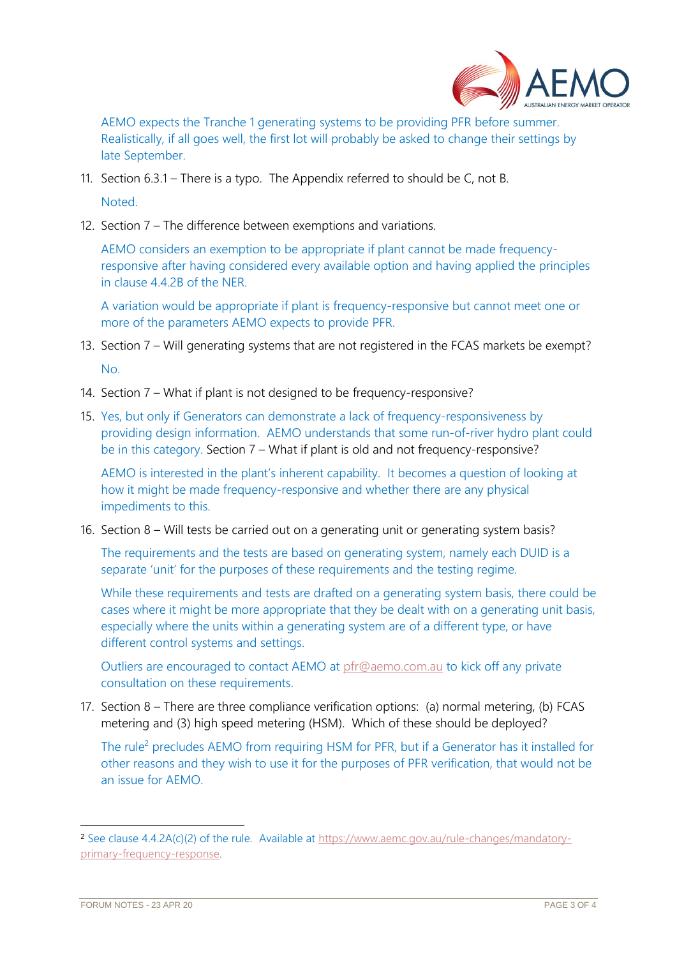

AEMO expects the Tranche 1 generating systems to be providing PFR before summer. Realistically, if all goes well, the first lot will probably be asked to change their settings by late September.

- 11. Section 6.3.1 There is a typo. The Appendix referred to should be C, not B. Noted.
- 12. Section 7 The difference between exemptions and variations.

AEMO considers an exemption to be appropriate if plant cannot be made frequencyresponsive after having considered every available option and having applied the principles in clause 4.4.2B of the NER.

A variation would be appropriate if plant is frequency-responsive but cannot meet one or more of the parameters AEMO expects to provide PFR.

- 13. Section 7 Will generating systems that are not registered in the FCAS markets be exempt?  $N<sub>0</sub>$
- 14. Section 7 What if plant is not designed to be frequency-responsive?
- 15. Yes, but only if Generators can demonstrate a lack of frequency-responsiveness by providing design information. AEMO understands that some run-of-river hydro plant could be in this category. Section 7 – What if plant is old and not frequency-responsive?

AEMO is interested in the plant's inherent capability. It becomes a question of looking at how it might be made frequency-responsive and whether there are any physical impediments to this.

16. Section 8 – Will tests be carried out on a generating unit or generating system basis?

The requirements and the tests are based on generating system, namely each DUID is a separate 'unit' for the purposes of these requirements and the testing regime.

While these requirements and tests are drafted on a generating system basis, there could be cases where it might be more appropriate that they be dealt with on a generating unit basis, especially where the units within a generating system are of a different type, or have different control systems and settings.

Outliers are encouraged to contact AEMO at [pfr@aemo.com.au](mailto:pfr@aemo.com.au) to kick off any private consultation on these requirements.

17. Section 8 – There are three compliance verification options: (a) normal metering, (b) FCAS metering and (3) high speed metering (HSM). Which of these should be deployed?

The rule<sup>2</sup> precludes AEMO from requiring HSM for PFR, but if a Generator has it installed for other reasons and they wish to use it for the purposes of PFR verification, that would not be an issue for AEMO.

<sup>2</sup> See clause 4.4.2A(c)(2) of the rule. Available at [https://www.aemc.gov.au/rule-changes/mandatory](https://www.aemc.gov.au/rule-changes/mandatory-primary-frequency-response)[primary-frequency-response.](https://www.aemc.gov.au/rule-changes/mandatory-primary-frequency-response)